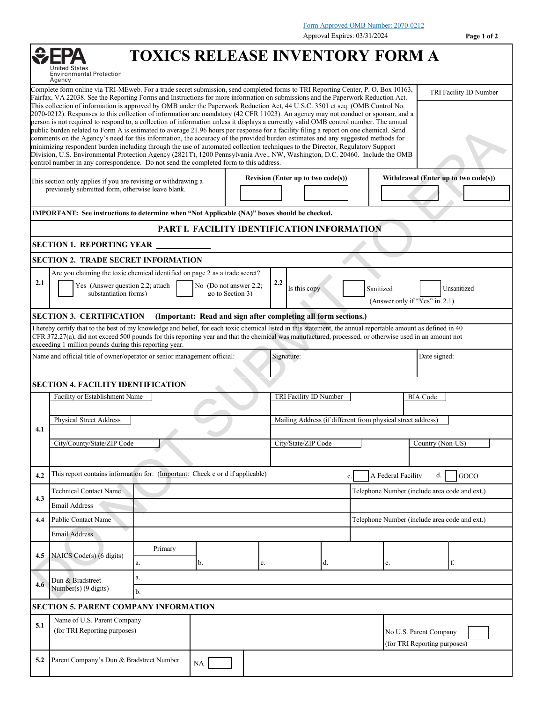Form Approved OMB Number: 2070-0212

|                                                                                                                                                                                                                                                                                                                                                                                                                                                                                                                                            |                                                                                                                                                                                                                                                                                                                                                                                                                                                                                                                                                                                                                                                                                                                                                                            |                                        |  |                                                                |                                                                           | Approval Expires: 03/31/2024 |                                                        | Page 1 of 2                          |  |  |
|--------------------------------------------------------------------------------------------------------------------------------------------------------------------------------------------------------------------------------------------------------------------------------------------------------------------------------------------------------------------------------------------------------------------------------------------------------------------------------------------------------------------------------------------|----------------------------------------------------------------------------------------------------------------------------------------------------------------------------------------------------------------------------------------------------------------------------------------------------------------------------------------------------------------------------------------------------------------------------------------------------------------------------------------------------------------------------------------------------------------------------------------------------------------------------------------------------------------------------------------------------------------------------------------------------------------------------|----------------------------------------|--|----------------------------------------------------------------|---------------------------------------------------------------------------|------------------------------|--------------------------------------------------------|--------------------------------------|--|--|
|                                                                                                                                                                                                                                                                                                                                                                                                                                                                                                                                            | <b>Environmental Protection</b><br>Agency                                                                                                                                                                                                                                                                                                                                                                                                                                                                                                                                                                                                                                                                                                                                  | <b>TOXICS RELEASE INVENTORY FORM A</b> |  |                                                                |                                                                           |                              |                                                        |                                      |  |  |
| Complete form online via TRI-MEweb. For a trade secret submission, send completed forms to TRI Reporting Center, P. O. Box 10163,<br>Fairfax, VA 22038. See the Reporting Forms and Instructions for more information on submissions and the Paperwork Reduction Act.<br>This collection of information is approved by OMB under the Paperwork Reduction Act, 44 U.S.C. 3501 et seq. (OMB Control No.<br>2070-0212). Responses to this collection of information are mandatory (42 CFR 11023). An agency may not conduct or sponsor, and a |                                                                                                                                                                                                                                                                                                                                                                                                                                                                                                                                                                                                                                                                                                                                                                            |                                        |  |                                                                |                                                                           |                              |                                                        | TRI Facility ID Number               |  |  |
|                                                                                                                                                                                                                                                                                                                                                                                                                                                                                                                                            | person is not required to respond to, a collection of information unless it displays a currently valid OMB control number. The annual<br>public burden related to Form A is estimated to average 21.96 hours per response for a facility filing a report on one chemical. Send<br>comments on the Agency's need for this information, the accuracy of the provided burden estimates and any suggested methods for<br>minimizing respondent burden including through the use of automated collection techniques to the Director, Regulatory Support<br>Division, U.S. Environmental Protection Agency (2821T), 1200 Pennsylvania Ave., NW, Washington, D.C. 20460. Include the OMB<br>control number in any correspondence. Do not send the completed form to this address. |                                        |  |                                                                |                                                                           |                              |                                                        |                                      |  |  |
| This section only applies if you are revising or withdrawing a<br>previously submitted form, otherwise leave blank.                                                                                                                                                                                                                                                                                                                                                                                                                        |                                                                                                                                                                                                                                                                                                                                                                                                                                                                                                                                                                                                                                                                                                                                                                            |                                        |  |                                                                | Revision (Enter up to two code(s))                                        |                              |                                                        | Withdrawal (Enter up to two code(s)) |  |  |
|                                                                                                                                                                                                                                                                                                                                                                                                                                                                                                                                            | <b>IMPORTANT:</b> See instructions to determine when "Not Applicable (NA)" boxes should be checked.                                                                                                                                                                                                                                                                                                                                                                                                                                                                                                                                                                                                                                                                        |                                        |  |                                                                |                                                                           |                              |                                                        |                                      |  |  |
|                                                                                                                                                                                                                                                                                                                                                                                                                                                                                                                                            |                                                                                                                                                                                                                                                                                                                                                                                                                                                                                                                                                                                                                                                                                                                                                                            |                                        |  | PART I. FACILITY IDENTIFICATION INFORMATION                    |                                                                           |                              |                                                        |                                      |  |  |
|                                                                                                                                                                                                                                                                                                                                                                                                                                                                                                                                            | <b>SECTION 1. REPORTING YEAR</b>                                                                                                                                                                                                                                                                                                                                                                                                                                                                                                                                                                                                                                                                                                                                           |                                        |  |                                                                |                                                                           |                              |                                                        |                                      |  |  |
|                                                                                                                                                                                                                                                                                                                                                                                                                                                                                                                                            | <b>SECTION 2. TRADE SECRET INFORMATION</b>                                                                                                                                                                                                                                                                                                                                                                                                                                                                                                                                                                                                                                                                                                                                 |                                        |  |                                                                |                                                                           |                              |                                                        |                                      |  |  |
|                                                                                                                                                                                                                                                                                                                                                                                                                                                                                                                                            | Are you claiming the toxic chemical identified on page 2 as a trade secret?                                                                                                                                                                                                                                                                                                                                                                                                                                                                                                                                                                                                                                                                                                |                                        |  |                                                                |                                                                           |                              |                                                        |                                      |  |  |
| 2.1                                                                                                                                                                                                                                                                                                                                                                                                                                                                                                                                        | Yes (Answer question 2.2; attach<br>No (Do not answer 2.2;<br>substantiation forms)<br>go to Section 3)                                                                                                                                                                                                                                                                                                                                                                                                                                                                                                                                                                                                                                                                    |                                        |  | 2.2                                                            | Sanitized<br>Unsanitized<br>Is this copy<br>(Answer only if "Yes" in 2.1) |                              |                                                        |                                      |  |  |
|                                                                                                                                                                                                                                                                                                                                                                                                                                                                                                                                            | <b>SECTION 3. CERTIFICATION</b>                                                                                                                                                                                                                                                                                                                                                                                                                                                                                                                                                                                                                                                                                                                                            |                                        |  | (Important: Read and sign after completing all form sections.) |                                                                           |                              |                                                        |                                      |  |  |
|                                                                                                                                                                                                                                                                                                                                                                                                                                                                                                                                            | I hereby certify that to the best of my knowledge and belief, for each toxic chemical listed in this statement, the annual reportable amount as defined in 40<br>CFR 372.27(a), did not exceed 500 pounds for this reporting year and that the chemical was manufactured, processed, or otherwise used in an amount not<br>exceeding 1 million pounds during this reporting year.                                                                                                                                                                                                                                                                                                                                                                                          |                                        |  |                                                                |                                                                           |                              |                                                        |                                      |  |  |
|                                                                                                                                                                                                                                                                                                                                                                                                                                                                                                                                            | Name and official title of owner/operator or senior management official:                                                                                                                                                                                                                                                                                                                                                                                                                                                                                                                                                                                                                                                                                                   |                                        |  | Signature:                                                     |                                                                           |                              | Date signed:                                           |                                      |  |  |
|                                                                                                                                                                                                                                                                                                                                                                                                                                                                                                                                            | <b>SECTION 4. FACILITY IDENTIFICATION</b>                                                                                                                                                                                                                                                                                                                                                                                                                                                                                                                                                                                                                                                                                                                                  |                                        |  |                                                                |                                                                           |                              |                                                        |                                      |  |  |
|                                                                                                                                                                                                                                                                                                                                                                                                                                                                                                                                            | Facility or Establishment Name                                                                                                                                                                                                                                                                                                                                                                                                                                                                                                                                                                                                                                                                                                                                             |                                        |  | TRI Facility ID Number                                         |                                                                           |                              | <b>BIA</b> Code                                        |                                      |  |  |
|                                                                                                                                                                                                                                                                                                                                                                                                                                                                                                                                            | Physical Street Address                                                                                                                                                                                                                                                                                                                                                                                                                                                                                                                                                                                                                                                                                                                                                    |                                        |  |                                                                | Mailing Address (if different from physical street address)               |                              |                                                        |                                      |  |  |
| 4.1                                                                                                                                                                                                                                                                                                                                                                                                                                                                                                                                        |                                                                                                                                                                                                                                                                                                                                                                                                                                                                                                                                                                                                                                                                                                                                                                            |                                        |  |                                                                |                                                                           |                              |                                                        |                                      |  |  |
|                                                                                                                                                                                                                                                                                                                                                                                                                                                                                                                                            | City/County/State/ZIP Code                                                                                                                                                                                                                                                                                                                                                                                                                                                                                                                                                                                                                                                                                                                                                 |                                        |  |                                                                | City/State/ZIP Code                                                       |                              |                                                        | Country (Non-US)                     |  |  |
| 4.2                                                                                                                                                                                                                                                                                                                                                                                                                                                                                                                                        | This report contains information for: (Important: Check c or d if applicable)                                                                                                                                                                                                                                                                                                                                                                                                                                                                                                                                                                                                                                                                                              |                                        |  |                                                                | A Federal Facility<br>c.                                                  |                              |                                                        |                                      |  |  |
|                                                                                                                                                                                                                                                                                                                                                                                                                                                                                                                                            | <b>Technical Contact Name</b>                                                                                                                                                                                                                                                                                                                                                                                                                                                                                                                                                                                                                                                                                                                                              |                                        |  |                                                                | Telephone Number (include area code and ext.)                             |                              |                                                        |                                      |  |  |
| 4.3                                                                                                                                                                                                                                                                                                                                                                                                                                                                                                                                        | Email Address                                                                                                                                                                                                                                                                                                                                                                                                                                                                                                                                                                                                                                                                                                                                                              |                                        |  |                                                                |                                                                           |                              |                                                        |                                      |  |  |
| 4.4                                                                                                                                                                                                                                                                                                                                                                                                                                                                                                                                        | <b>Public Contact Name</b>                                                                                                                                                                                                                                                                                                                                                                                                                                                                                                                                                                                                                                                                                                                                                 |                                        |  |                                                                | Telephone Number (include area code and ext.)                             |                              |                                                        |                                      |  |  |
|                                                                                                                                                                                                                                                                                                                                                                                                                                                                                                                                            | <b>Email Address</b>                                                                                                                                                                                                                                                                                                                                                                                                                                                                                                                                                                                                                                                                                                                                                       |                                        |  |                                                                |                                                                           |                              |                                                        |                                      |  |  |
| 4.5                                                                                                                                                                                                                                                                                                                                                                                                                                                                                                                                        | NAICS Code(s) (6 digits)                                                                                                                                                                                                                                                                                                                                                                                                                                                                                                                                                                                                                                                                                                                                                   | Primary<br>a.<br>b.                    |  | c.                                                             | d.                                                                        | e.                           |                                                        | f.                                   |  |  |
|                                                                                                                                                                                                                                                                                                                                                                                                                                                                                                                                            |                                                                                                                                                                                                                                                                                                                                                                                                                                                                                                                                                                                                                                                                                                                                                                            | a.                                     |  |                                                                |                                                                           |                              |                                                        |                                      |  |  |
| 4.6                                                                                                                                                                                                                                                                                                                                                                                                                                                                                                                                        | Dun & Bradstreet<br>Number(s) $(9 \text{ digits})$                                                                                                                                                                                                                                                                                                                                                                                                                                                                                                                                                                                                                                                                                                                         | b.                                     |  |                                                                |                                                                           |                              |                                                        |                                      |  |  |
|                                                                                                                                                                                                                                                                                                                                                                                                                                                                                                                                            |                                                                                                                                                                                                                                                                                                                                                                                                                                                                                                                                                                                                                                                                                                                                                                            |                                        |  |                                                                |                                                                           |                              |                                                        |                                      |  |  |
|                                                                                                                                                                                                                                                                                                                                                                                                                                                                                                                                            | <b>SECTION 5. PARENT COMPANY INFORMATION</b><br>Name of U.S. Parent Company                                                                                                                                                                                                                                                                                                                                                                                                                                                                                                                                                                                                                                                                                                |                                        |  |                                                                |                                                                           |                              |                                                        |                                      |  |  |
| 5.1                                                                                                                                                                                                                                                                                                                                                                                                                                                                                                                                        | (for TRI Reporting purposes)                                                                                                                                                                                                                                                                                                                                                                                                                                                                                                                                                                                                                                                                                                                                               |                                        |  |                                                                |                                                                           |                              | No U.S. Parent Company<br>(for TRI Reporting purposes) |                                      |  |  |
| 5.2                                                                                                                                                                                                                                                                                                                                                                                                                                                                                                                                        | Parent Company's Dun & Bradstreet Number                                                                                                                                                                                                                                                                                                                                                                                                                                                                                                                                                                                                                                                                                                                                   | NA                                     |  |                                                                |                                                                           |                              |                                                        |                                      |  |  |